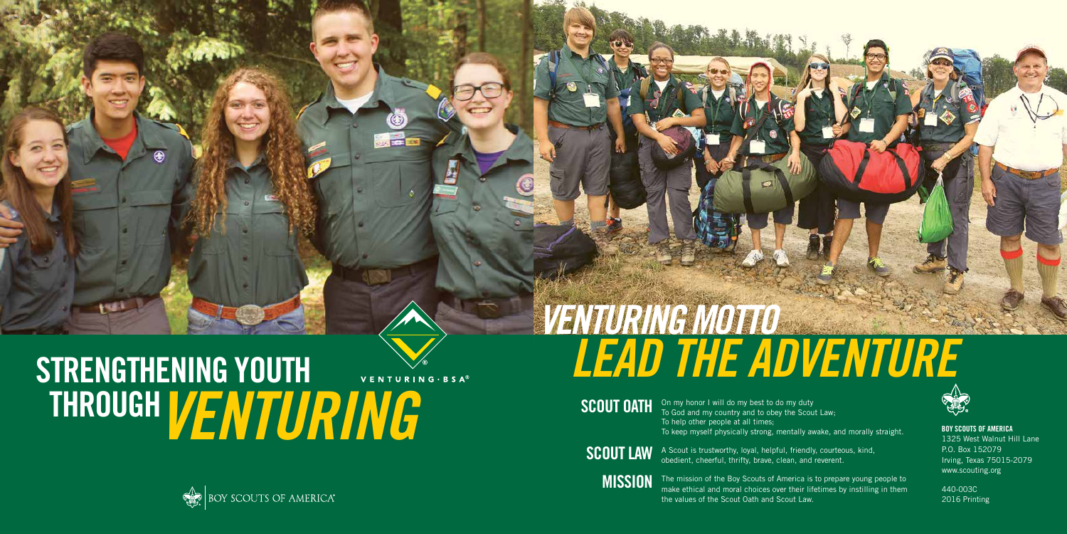On my honor I will do my best to do my duty To God and my country and to obey the Scout Law; To help other people at all times; To keep myself physically strong, mentally awake, and morally straight.

A Scout is trustworthy, loyal, helpful, friendly, courteous, kind, obedient, cheerful, thrifty, brave, clean, and reverent.



# STRENGTHENING YOUTH VENTURING · BSA<sup>®</sup> THROUGH *VENTURING*



The mission of the Boy Scouts of America is to prepare young people to make ethical and moral choices over their lifetimes by instilling in them the values of the Scout Oath and Scout Law.



SCOUT OATH

SCOUT LAW

**MISSION** 

BOY SCOUTS OF AMERICA 1325 West Walnut Hill Lane P.O. Box 152079 Irving, Texas 75015-2079 www.scouting.org

440-003C 2016 Printing

# *VENTURING MOTTO LEAD THE ADVENTURE*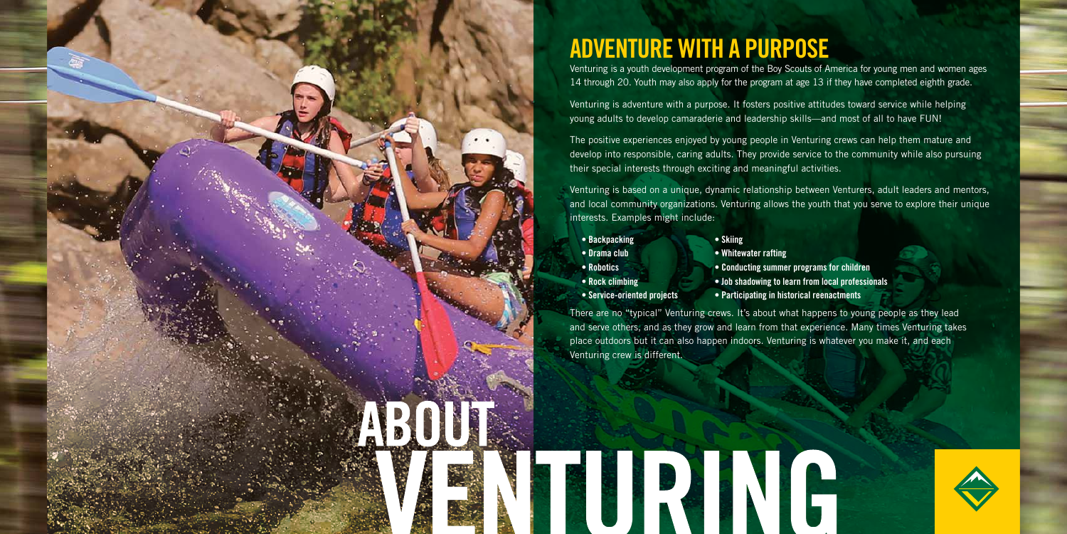

# ADVENTURE WITH A PURPOSE

Venturing is a youth development program of the Boy Scouts of America for young men and women ages 14 through 20. Youth may also apply for the program at age 13 if they have completed eighth grade.

Venturing is adventure with a purpose. It fosters positive attitudes toward service while helping young adults to develop camaraderie and leadership skills—and most of all to have FUN!

The positive experiences enjoyed by young people in Venturing crews can help them mature and develop into responsible, caring adults. They provide service to the community while also pursuing their special interests through exciting and meaningful activities.

- Backpacking Skiing
- Drama club Whitewater rafting
- 
- 
- Service-oriented projects Participating in historical reenactments
- 
- 

Venturing is based on a unique, dynamic relationship between Venturers, adult leaders and mentors, and local community organizations. Venturing allows the youth that you serve to explore their unique interests. Examples might include:

There are no "typical" Venturing crews. It's about what happens to young people as they lead and serve others, and as they grow and learn from that experience. Many times Venturing takes place outdoors but it can also happen indoors. Venturing is whatever you make it, and each Venturing crew is different.

• Robotics • Conducting summer programs for children • Rock climbing • Job shadowing to learn from local professionals



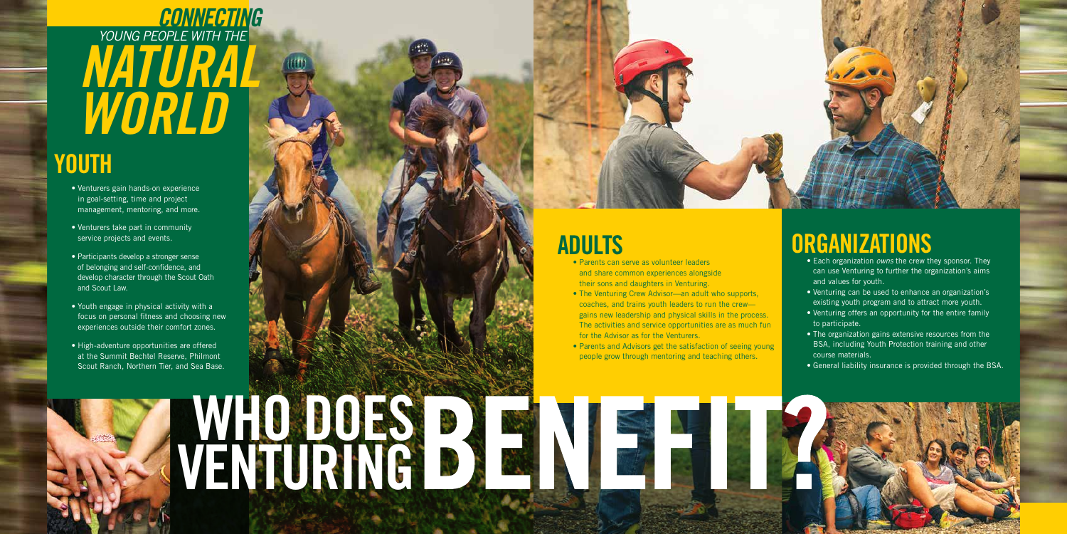VENTURING

- Venturers gain hands-on experience in goal-setting, time and project management, mentoring, and more.
- Venturers take part in community service projects and events.
- Participants develop a stronger sense of belonging and self-confidence, and develop character through the Scout Oath and Scout Law.
- Youth engage in physical activity with a focus on personal fitness and choosing new experiences outside their comfort zones.
- High-adventure opportunities are offered at the Summit Bechtel Reserve, Philmont Scout Ranch, Northern Tier, and Sea Base.

WHO DOES

# *YOUNG PEOPLE WITH THE CONNECTING NATURAL WORLD*

# YOUTH



- Parents can serve as volunteer leaders and share common experiences alongside their sons and daughters in Venturing.
- The Venturing Crew Advisor—an adult who supports, coaches, and trains youth leaders to run the crew gains new leadership and physical skills in the process. The activities and service opportunities are as much fun for the Advisor as for the Venturers.
- Parents and Advisors get the satisfaction of seeing young people grow through mentoring and teaching others.



# **ORGANIZATIONS**

- Each organization *owns* the crew they sponsor. They can use Venturing to further the organization's aims and values for youth.
- Venturing can be used to enhance an organization's existing youth program and to attract more youth.
- Venturing offers an opportunity for the entire family to participate.
- The organization gains extensive resources from the BSA, including Youth Protection training and other course materials.
- General liability insurance is provided through the BSA.